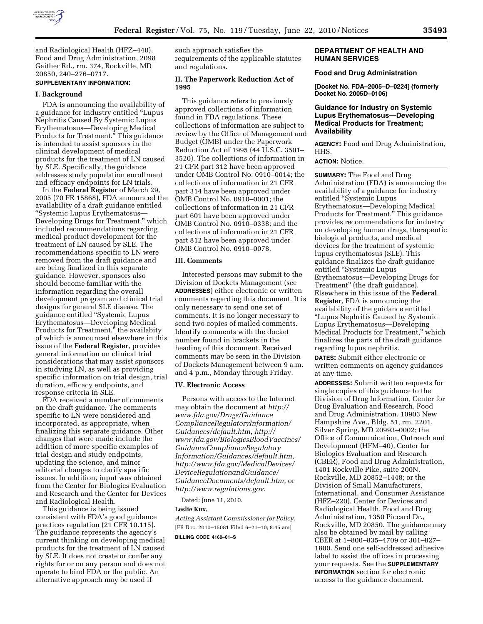

and Radiological Health (HFZ–440), Food and Drug Administration, 2098 Gaither Rd., rm. 374, Rockville, MD 20850, 240–276–0717.

# **SUPPLEMENTARY INFORMATION:**

#### **I. Background**

FDA is announcing the availability of a guidance for industry entitled ''Lupus Nephritis Caused By Systemic Lupus Erythematosus—Developing Medical Products for Treatment.'' This guidance is intended to assist sponsors in the clinical development of medical products for the treatment of LN caused by SLE. Specifically, the guidance addresses study population enrollment and efficacy endpoints for LN trials.

In the **Federal Register** of March 29, 2005 (70 FR 15868), FDA announced the availability of a draft guidance entitled ''Systemic Lupus Erythematosus— Developing Drugs for Treatment,'' which included recommendations regarding medical product development for the treatment of LN caused by SLE. The recommendations specific to LN were removed from the draft guidance and are being finalized in this separate guidance. However, sponsors also should become familiar with the information regarding the overall development program and clinical trial designs for general SLE disease. The guidance entitled ''Systemic Lupus Erythematosus—Developing Medical Products for Treatment,'' the availabity of which is announced elsewhere in this issue of the **Federal Register**, provides general information on clinical trial considerations that may assist sponsors in studying LN, as well as providing specific information on trial design, trial duration, efficacy endpoints, and response criteria in SLE.

FDA received a number of comments on the draft guidance. The comments specific to LN were considered and incorporated, as appropriate, when finalizing this separate guidance. Other changes that were made include the addition of more specific examples of trial design and study endpoints, updating the science, and minor editorial changes to clarify specific issues. In addition, input was obtained from the Center for Biologics Evaluation and Research and the Center for Devices and Radiological Health.

This guidance is being issued consistent with FDA's good guidance practices regulation (21 CFR 10.115). The guidance represents the agency's current thinking on developing medical products for the treatment of LN caused by SLE. It does not create or confer any rights for or on any person and does not operate to bind FDA or the public. An alternative approach may be used if

such approach satisfies the requirements of the applicable statutes and regulations.

## **II. The Paperwork Reduction Act of 1995**

This guidance refers to previously approved collections of information found in FDA regulations. These collections of information are subject to review by the Office of Management and Budget (OMB) under the Paperwork Reduction Act of 1995 (44 U.S.C. 3501– 3520). The collections of information in 21 CFR part 312 have been approved under OMB Control No. 0910–0014; the collections of information in 21 CFR part 314 have been approved under OMB Control No. 0910–0001; the collections of information in 21 CFR part 601 have been approved under OMB Control No. 0910–0338; and the collections of information in 21 CFR part 812 have been approved under OMB Control No. 0910–0078.

#### **III. Comments**

Interested persons may submit to the Division of Dockets Management (see **ADDRESSES**) either electronic or written comments regarding this document. It is only necessary to send one set of comments. It is no longer necessary to send two copies of mailed comments. Identify comments with the docket number found in brackets in the heading of this document. Received comments may be seen in the Division of Dockets Management between 9 a.m. and 4 p.m., Monday through Friday.

## **IV. Electronic Access**

Persons with access to the Internet may obtain the document at *http:// www.fda.gov/Drugs/Guidance ComplianceRegulatoryInformation/ Guidances/default.htm*, *http:// www.fda.gov/BiologicsBloodVaccines/ GuidanceComplianceRegulatory Information/Guidances/default.htm*, *http://www.fda.gov/MedicalDevices/ DeviceRegulationandGuidance/ GuidanceDocuments/default.htm*, or *http://www.regulations.gov*.

Dated: June 11, 2010.

#### **Leslie Kux,**

*Acting Assistant Commissioner for Policy.*  [FR Doc. 2010–15081 Filed 6–21–10; 8:45 am] **BILLING CODE 4160–01–S** 

**DEPARTMENT OF HEALTH AND HUMAN SERVICES** 

## **Food and Drug Administration**

**[Docket No. FDA–2005–D–0224] (formerly Docket No. 2005D–0106)** 

# **Guidance for Industry on Systemic Lupus Erythematosus—Developing Medical Products for Treatment; Availability**

**AGENCY:** Food and Drug Administration, HHS.

## **ACTION:** Notice.

**SUMMARY:** The Food and Drug Administration (FDA) is announcing the availability of a guidance for industry entitled ''Systemic Lupus Erythematosus—Developing Medical Products for Treatment.'' This guidance provides recommendations for industry on developing human drugs, therapeutic biological products, and medical devices for the treatment of systemic lupus erythematosus (SLE). This guidance finalizes the draft guidance entitled ''Systemic Lupus Erythematosus—Developing Drugs for Treatment'' (the draft guidance). Elsewhere in this issue of the **Federal Register**, FDA is announcing the availability of the guidance entitled ''Lupus Nephritis Caused by Systemic Lupus Erythematosus—Developing Medical Products for Treatment,'' which finalizes the parts of the draft guidance regarding lupus nephritis.

**DATES:** Submit either electronic or written comments on agency guidances at any time.

**ADDRESSES:** Submit written requests for single copies of this guidance to the Division of Drug Information, Center for Drug Evaluation and Research, Food and Drug Administration, 10903 New Hampshire Ave., Bldg. 51, rm. 2201, Silver Spring, MD 20993–0002; the Office of Communication, Outreach and Development (HFM–40), Center for Biologics Evaluation and Research (CBER), Food and Drug Administration, 1401 Rockville Pike, suite 200N, Rockville, MD 20852–1448; or the Division of Small Manufacturers, International, and Consumer Assistance (HFZ–220), Center for Devices and Radiological Health, Food and Drug Administration, 1350 Piccard Dr., Rockville, MD 20850. The guidance may also be obtained by mail by calling CBER at 1–800–835–4709 or 301–827– 1800. Send one self-addressed adhesive label to assist the offices in processing your requests. See the **SUPPLEMENTARY INFORMATION** section for electronic access to the guidance document.